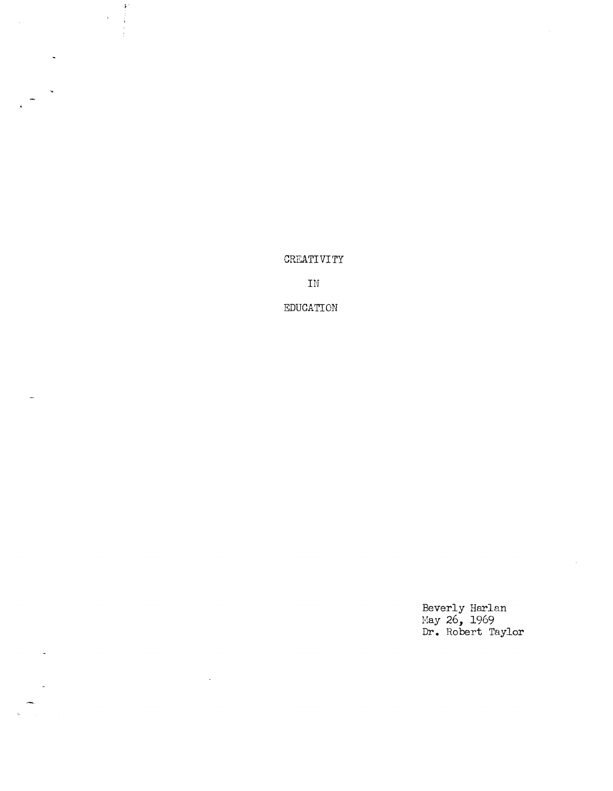CREATIVITY

 $\begin{array}{c} \frac{1}{2} \end{array}$  $\ddot{\phantom{0}}$ 

 $\hat{\mathcal{A}}$ 

 $\ddot{\phantom{a}}$ 

 $\bar{\omega}$ 

IN

EDUCATION

Beverly Harlan May 26, 1969 **Dr.** Robert Taylor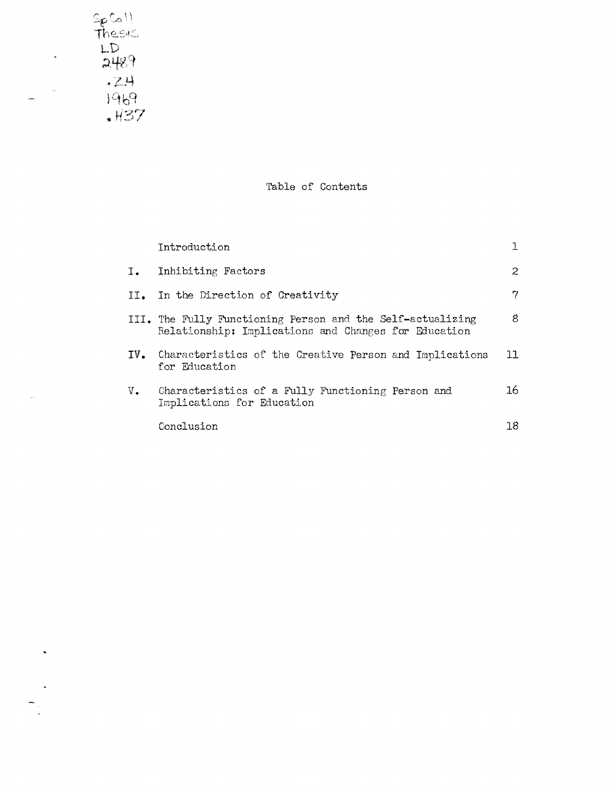$rac{56}{100}$ <br>Thesic<br>2489  $-24$ <br> $1969$ <br> $+137$ 

 $\ddot{\phantom{0}}$ 

 $\label{eq:exp} \mathcal{E}(\mu)$ 

 $\frac{1}{\sqrt{2}}$ 

 $\omega_{\rm s}$ 

 $\sim$   $\sim$ 

 $\sim$   $\mu$ 

 $\begin{array}{c}\n\bullet \\
\bullet \\
\bullet\n\end{array}$ 

Table of Contents

|               | Introduction                                                                                                       |     |
|---------------|--------------------------------------------------------------------------------------------------------------------|-----|
| $I_{\bullet}$ | Inhibiting Factors                                                                                                 | 2   |
|               | II. In the Direction of Creativity                                                                                 | 7   |
|               | III. The Fully Functioning Person and the Self-actualizing<br>Relationship: Implications and Changes for Education | 8.  |
|               | IV. Characteristics of the Creative Person and Implications<br>for Education                                       | 11  |
| $V_{\bullet}$ | Characteristics of a Fully Functioning Person and<br>Implications for Education                                    | 16  |
|               | Conclusion                                                                                                         | 18. |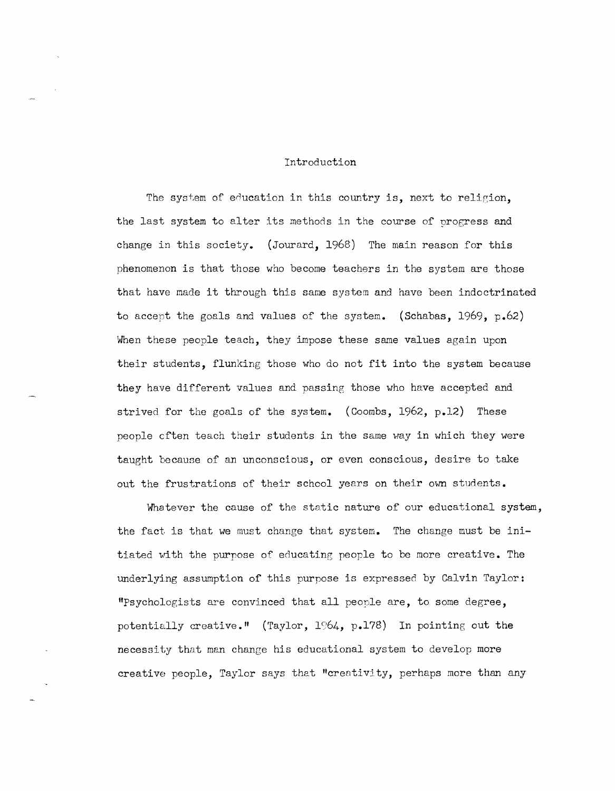#### Introduction

The system of education in this country is, next to religion, the last system to alter its methods in the course of progress and change in this society. (Jourard, 1968) The main reason for this phenomenon is that those who become teachers in the system are those that have made it through this same system and have been indoctrinated to accept the goals and values of the system. (Schabas, 1969, p.62) When these people teach, they impose these same values again upon their students, flunking those who do not fit into the system because they have different values and passing those who have accepted and strived for the goals of the system. (Coombs, 1962, p.12) These people cften teach their students in the same way in which they were taught because of an unconscious, or even conscious, desire to take out the frustrations of their school years on their own students.

Whatever the cause of the static nature of our educational system, the fact is that we must change that system. The change must be initiated with the purpose of educating people to be more creative. The underlying assumption of this purpose is expressed by Calvin Taylor: "Psychologists are convinced that all people are, to some degree, potentially creative." (Taylor,  $1964$ , p.178) In pointing out the necessity that man change his educational system to develop more creative people, Taylor says that "creativity, perhaps more than any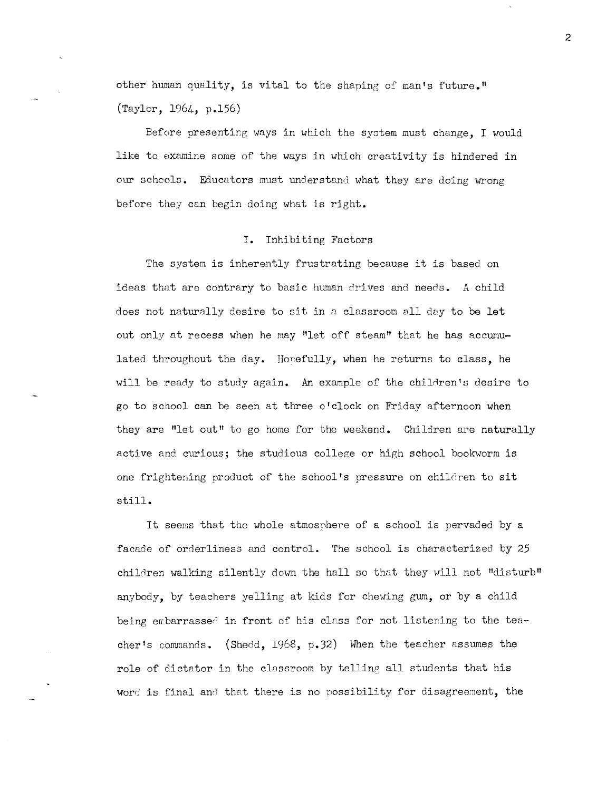other human quality, is vital to the shaping of man's future." (Taylor, 1964, p.156)

Before presenting ways in which the system must change. I would like to examine some of the ways in which creativity is hindered in our schools. Educators must understand what they are doing wrong before they can begin doing what is right.

### **I.** Inhibiting Factors

The system is inherently frustrating because it is based on ideas that are contrary to basic human drives and needs. A child does not naturally desire to sit in a classroom all day to be let out only at recess when he may "let off steam" that he has accumulated throughout the day. Honefully, when he returns to class, he will be ready to study again. An example of the children's desire to go to school can be seen at three o'clock on Friday afternoon when they are "let out" to go home for the weekend. Children are naturally active and curious; the studious college or high school bookworm is one frightening product of the school's pressure on chilc'ren to sit still.

It seems that the whole atmosphere of a school is pervaded by a facade of orderliness and control. The school is characterized by 25 children walking silently down the hall so that they will not "disturb" anybody, by teachers yelling at kids for chewing gum, or by a child being embarrassed in front of his class for not listening to the teacher's commands. (Shedd, 1968, p.32) Hhen the teacher assumes the role of dictator in the classroom by telling all students that his word is final and that there is no possibility for disagreement, the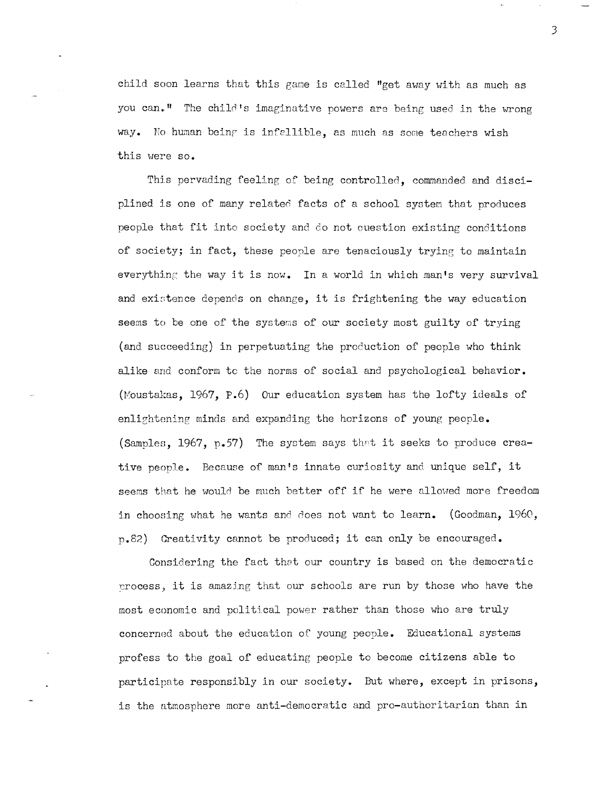child soon learns that this game is called "get away with as much as you can.<sup>"</sup> The child's imaginative powers are being used in the wrong way. No human being is infallible, as much as some teachers wish this were so.

This pervading feeline of being controlled, commanded and disciplined is one of many related facts of a school system that produces people that fit into society and do not ouestion existing conditions of society; in fact, these people are tenaciously trying to maintain every thing the way it is now. In a world in which man's very survival and existence depends on change, it is frightening the way education seems to be one of the systens of our society most guilty of trying (and succeeding) in perpetuating the production of people who think alike and conform to the norms of social and psychological behavior. (Moustakas,  $1967$ ,  $P.6$ ) Our education system has the lofty ideals of enlightening minds and expanding the horizons of young people. (Samples, 1967, p.57) The system says that it seeks to produce creative people. Because of man's innate curiosity and unique self, it seems that he would be much better off if he were allowed more freedom in choosing what he wants and does not want to learn. (Goodman,  $1960$ , p.82) Creativity cannot be produced; it can only be encouraged.

Considering the fact that our country is based on the democratic crocess, it is amazing that our schools are run by those who have the most economic and political power rather than those who are truly concerned about the education of young people. Educational systems profess to the goal of educating people to become citizens able to participate responsibly in our society. But where, except in prisons, is the atmosphere more anti-democratic and pro-authoritarian than in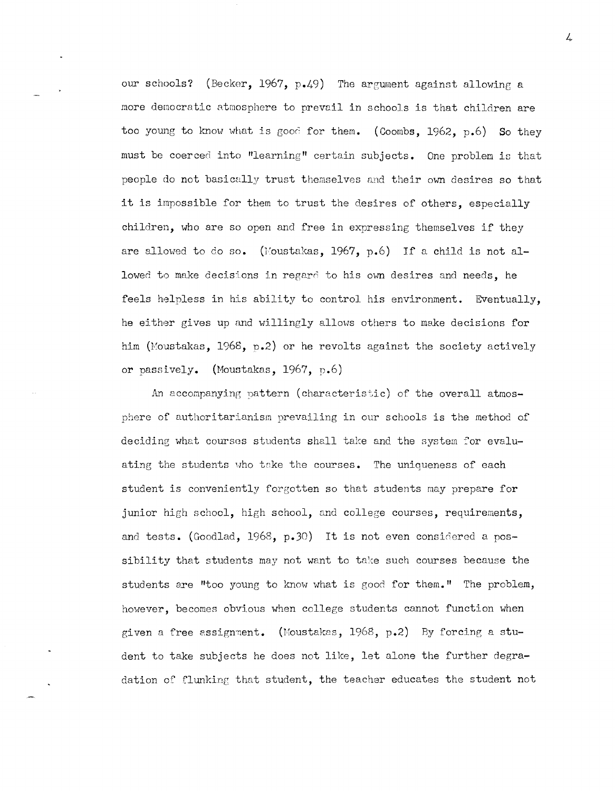our schools? (Becker, 1967, p.49) The argument against allowing a more democratic atmosphere to prevail in schools is that children are too young to know what is good for them. (Coombs, 1962, p.6) So they must be coerced into "learning" certain subjects. One problem is that people do not basiccclly trust themselves and their own desires so that it is impossible for them to trust the desires of others, especially children, who are so open and free in expressing themselves if they are allowed to do so. (Moustakas, 1967, p.6) If a child is not allowed to make decisions in regard to his own desires and needs, he feels helpless in his ability to control his environment. Eventually, he either gives up and willingly allows others to make decisions for him (Moustakas, 1968, p.2) or he revolts against the society actively or passively. (Moustakas, 1967, p.6)

An accompanying pattern (characteristic) of the overall atmosphere of authoritarianism prevailing in our schools is the method of deciding what courses students shall take and the system for evaluating the students who take the courses. The uniqueness of each student is conveniently forgotten so that students may prepare for junior high school, high school, and college courses, requirements, and tests. (Goodlad, 1968, p.30) It is not even considered a possibility that students may not want to take such courses because the students are "too young to know what is good for them." The problem, however, becomes obvious when college students cannot function when given a free assignment. (Moustakas,  $1968$ , p.2) By forcing a student to take subjects he does not like, let alone the further degradation of flunking that student, the teacher educates the student not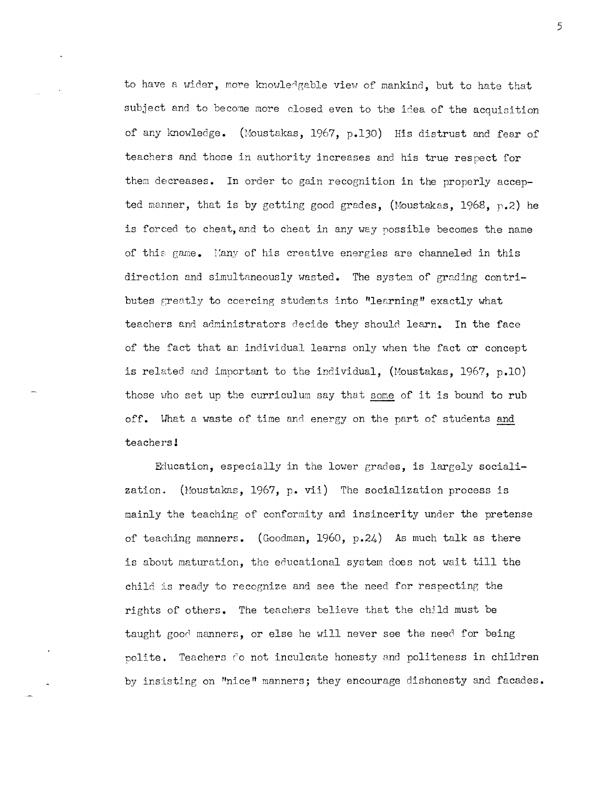to have a wider, more knowledgable view of mankind, but to hate that subject and to become more closed even to the idea of the acquisition of any knowledge. (Moustakas, 1967, p.130) His distrust and fear of teachers and those in authority increases and his true respect for them decreases. In order to gain recognition in the properly accepted manner, that is by getting good grades, (Moustakas, 1968,  $p.2$ ) he is forced to cheat, and to cheat in any way possible becomes the name of this game. Many of his creative energies are channeled in this direction and simultaneously wasted. The system of grading contributes greatly to coercing students into "learning" exactly what teachers and administrators decide they should learn. In the face of the fact that an individual learns only when the fact or concept is related and important to the individual, (Moustakas, 1967, p.10) those who set up the curriculum say that some of it is bound to rub off. What a waste of time and energy on the part of students and teachers!

Education, especially in the lower grades, is largely sociali-(Moustakas, 1967, p. vii) The socialization process is zation. mainly the teaching of conformity and insincerity under the pretense of teaching manners. (Goodman, 1960, p.24) As much talk as there is about maturation, the educational system does not wait till the child is ready to recognize and see the need for respecting the rights of others. The teachers believe that the child must be taught good manners, or else he will never see the need for being polite. Teachers do not inculcate honesty and politeness in children by insisting on "nice" manners; they encourage dishonesty and facades.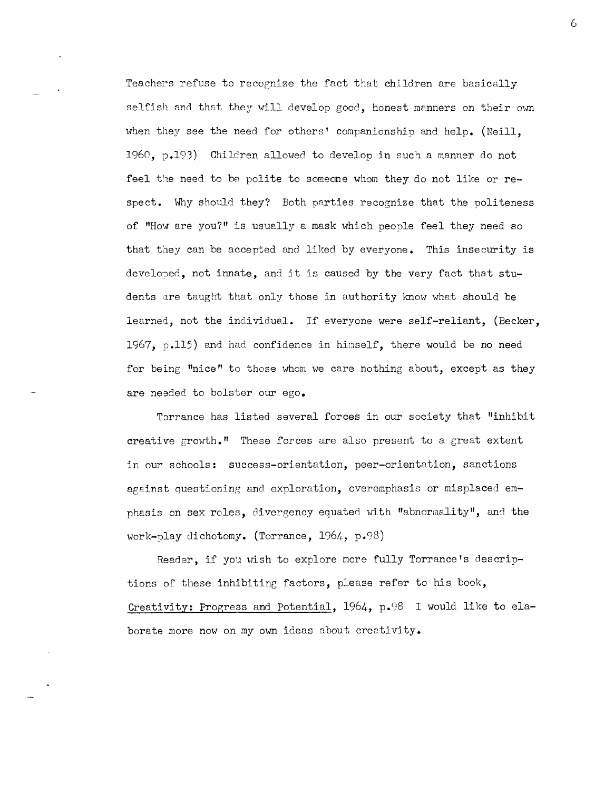Teachers refuse to recognize the fact that children are basically selfish and that they will develop good, honest manners on their own when they see the need for others' companionship and help. (Neill. 1960,  $p.193$ ) Children allowed to develop in such a manner do not feel the need to be polite to someone whom they do not like or respect. Why should they? Both parties recognize that the politeness of "How are you?" is usually a mask which people feel they need so that they can be accepted and liked by everyone. This insecurity is developed, not innate, and it is caused by the very fact that students are taught that only those in authority know what should be learned, not the individual. If everyone were self-reliant, (Becker, 1967,  $p.115$ ) and had confidence in himself, there would be no need for being "nice" to those whom we care nothing about, except as they are needed to bolster our ego.

Torrance has listed several forces in our society that "inhibit creative growth." These forces are also present to a great extent in our schools: success-orientation, peer-orientation, sanctions against questioning and exploration, overemphasis or misplaced emphasis on sex roles, divergency equated with "abnormality", and the work-play dichotomy. (Torrance, 1964, p.98)

Reader, if you wish to explore more fully Torrance's descriptions of these inhibiting factors, please refer to his book, Creativity: Progress and Potential, 1964, p.98 I would like to elaborate more now on my own ideas about creativity.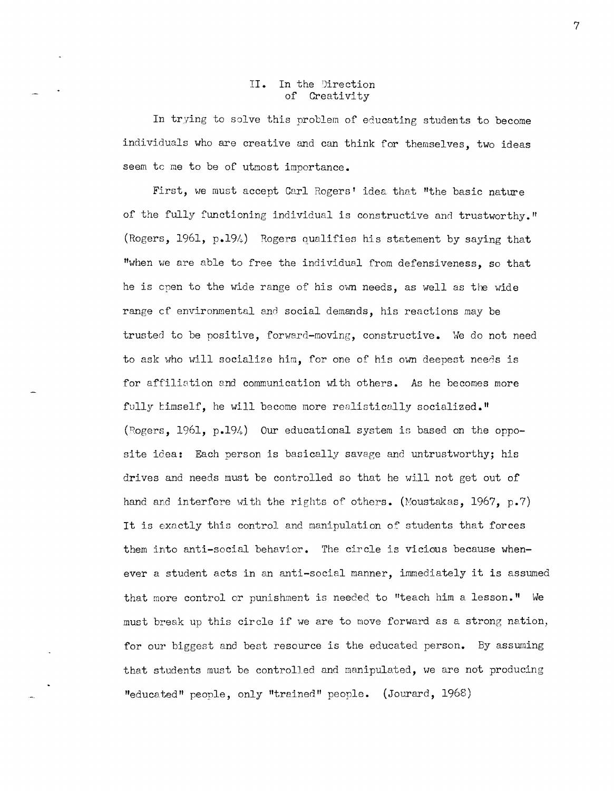### II. In the Direction<br>of Creativity Creativity

In trying to solve this problem of educating students to become individuals who are creative and can think for themselves, two ideas seem tc me to be of utmost importance.

First, we must accept Carl Rogers' idea that "the basic nature of the fully functioning individual is constructive and trustworthy." (Rogers, 1961, p.194) Rogers qualifies his statement by saying that "when we are able to free the individual from defensiveness, so that he is open to the wide range of his own needs, as well as the wide range of environmental and social demands, his reactions may be trusted to be positive, forward-moving, constructive. We do not need to ask who will socialize him, for one of his own deepest needs is for affiliation end communication with others. As he becomes more fully timself, he will become more realistically socialized." (Rogers, 1961, p.194) Our educational system is based on the opposite idea: Each person is basically savage and untrustworthy; his drives and needs must be controlled so that he will not get out of hand and interfere with the rights of others. (Moustakas, 1967, p.7) It is exactly this control and manipulation of students that forces them into anti-social behavior. The circle is vicious because whenever a student acts in an anti-social manner, immediately it is assumed that more control or punishment is needed to "teach him a lesson." We must break up this circle if we are to move forward as a strong nation, for our biggest and best resource is the educated person. By assuming that students must be controlled and manipulated, we are not producing "educated" people, only "trained" people. (Jourard, 1968)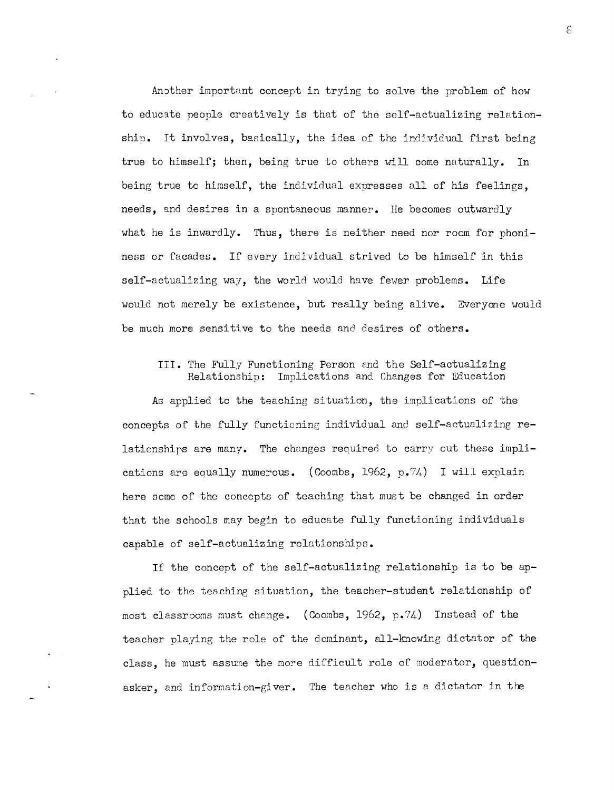Another important concept in trying to solve the problem of how to educate people creatively is that of the self-actualizing relationship. It involves, basically, the idea of the individual first being true to himself; then, being true to others will come naturally. In being true to himself, the individual expresses all of his feelings, needs, and desires in a spontaneous manner. He becomes outwardly what he is inwardly. Thus, there is neither need nor room for phoniness or facades. If every individual strived to be himself in this self-actualizing way, the world would have fewer problems. Life would not merely be existence, but really being alive. Everyone would be much more sensitive to the needs and desires of others.

# III. The Fully Functioning Person and the Self-actualizing Relationship: Implications and Changes for Education

As applied to the teaching situation, the implications of the concepts of the fully functioning individual and self-actualizing relationships are many. The changes required to carry out these implications are equally numerous. (Coombs, 1962, p.74) I will explain here some of the concepts of teaching that must be changed in order that the schools may begin to educate fully functioning individuals capable of self-actualizing relationships.

If the concept of the self-actualizing relationship is to be applied to the teaching situation, the teacher-student relationship of most classrooms must change. (Coombs, 1962, p.74) Instead of the teacher playing the role of the dominant, all-knowing dictator of the class, he must assume the more difficult role of moderator, questionasker, and information-giver. The teacher who is a dictator in the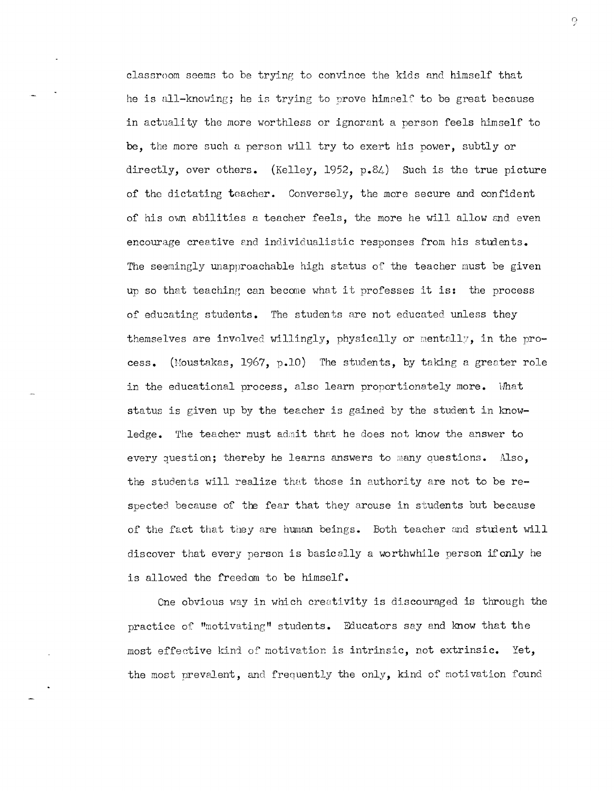classroom seems to be tryinp, to convince the kids and himself that he is all-knowing; he is trying to prove himself to be great because in actuality the more worthless or ignorant a person feels himself to be, the more such a person will try to exert his power, subtly or directly, over others. (Kelley, 1952, p.84) Such is the true picture of the dictating teacher. Conversely, the more secure and confident of his own abilities a teacher feels, the more he will allow and even encourage creative and individualistic responses from his students. The seemingly unapproachable high status of the teacher must be given up so that teaching can become what it professes it is: the process of educating students. The students are not educated unless they themselves are involved willingly, physically or mentally, in the process. (Moustakas, 1967, p.10) The students, by taking a greater role in the educational process, also learn proportionately more.  $\n$  What status is given up by the teacher is gained by the student in knowledge. The teacher must admit that he does not know the answer to every question; thereby he learns answers to many questions.  $\text{Also}$ , the students will realize that those in authority are not to be respected because of the fear that they arouse in students but because of the fact that they are human beings. Both teacher and student will discover that every person is basically a worthwhile person ifonly he is allowed the freedom to be himself.

ene obvious *W3.y* in which creativity is discouraged is through the practice of "motivating" students. Educators say and know that the most effective kind of motivation is intrinsic, not extrinsic. Yet, the most prevalent, and frequently the only, kind of motivation found

 $\mathcal{C}$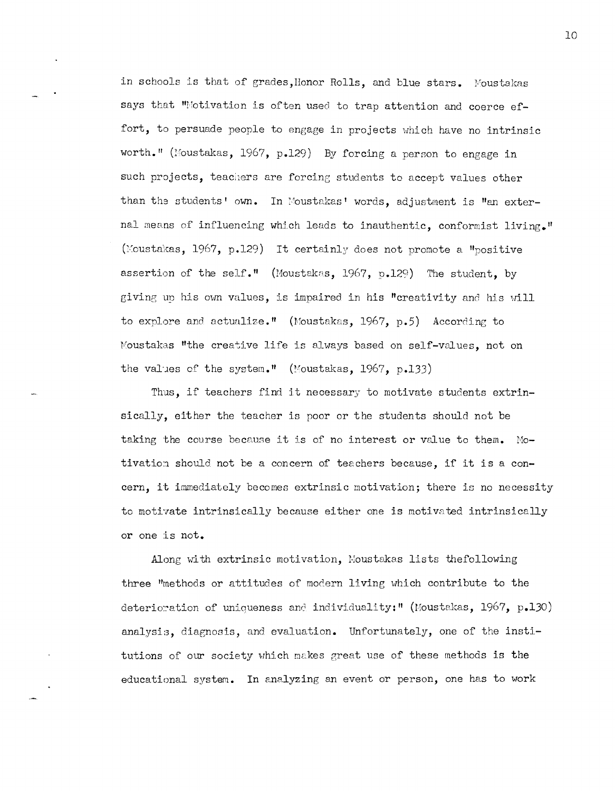in schools is that of grades, Honor Rolls, and blue stars. Moustakas says that "Motivation is often used to trap attention and coerce effort, to persuade people to engage in projects which have no intrinsic worth." (Moustakas, 1967, p.129) By forcing a person to engage in such projects, teachers are forcing students to accept values other than the students' own. In Moustakas' words, adjustment is "an external means of influencing which leads to inauthentic, conformist living." (Moustakas, 1967, p.129) It certainly does not promote a "positive" assertion of the self." (Moustakas, 1967, p.129) The student, by giving up his own values, is impaired in his "creativity and his will to explore and actualize." (Moustakas, 1967, p.5) According to Moustakas "the creative life is always based on self-values, not on the values of the system." (Moustakas, 1967, p.133)

Thus, if teachers find it necessary to motivate students extrinsically, either the teacher is poor or the students should not be taking the course because it is of no interest or value to them. Motivation should not be a concern of teachers because, if it is a concern, it immediately becomes extrinsic motivation; there is no necessity to motivate intrinsically because either one is motivated intrinsically or one is not.

Along with extrinsic motivation, Moustakas lists thefollowing three "methods or attitudes of modern living which contribute to the deterioration of uniqueness and individuality:" (Moustakas, 1967, p.130) analysis, diagnosis, and evaluation. Unfortunately, one of the institutions of our society which makes great use of these methods is the educational system. In analyzing an event or person, one has to work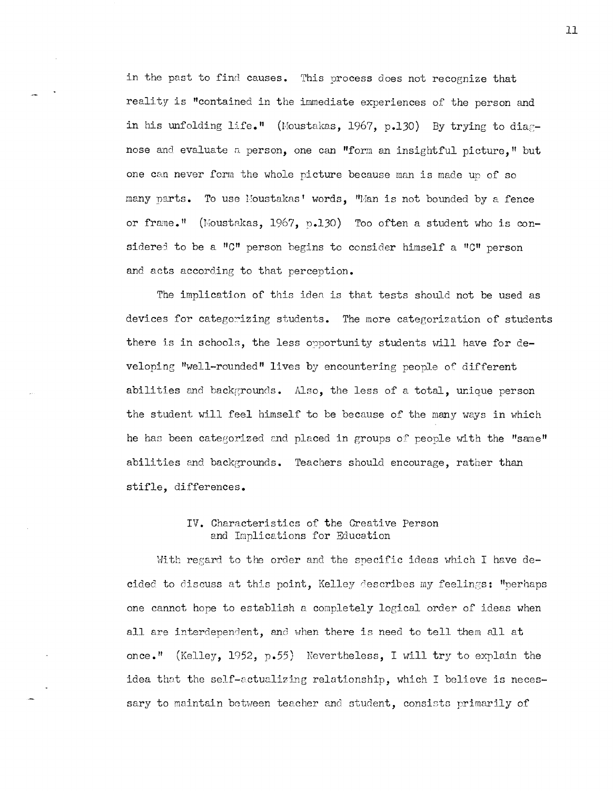in the past to find causes. This process does not recognize that reality is "contained in the immediate experiences of the person and in his unfolding life." (Moustakas, 1967, p.130) By trying to diagnose and evaluate a person, one can "form an insightful picture," but one can never form the whole picture because man is made up of so many parts. To use Moustakas' words, "Man is not bounded by a fence or frame." (Moustakas, 1967, p.130) Too often a student who is considered to be a "C" person begins to consider himself a "C" person and acts according to that perception.

The implication of this idea is that tests should not be used as devices for categorizing students. The more categorization of students there is in schools, the less orportunity students will have for developing "well-rounded" lives by encountering people of different abilities and backgrounds. Also, the less of a total, unique person the student will feel himself to be because of the many ways in which he has been categorized and placed in groups of people with the "same" abilities and backgrounds. Teachers should encourage, rather than stifle, differences.

# IV. Characteristics of the Creative Person and Implications for Education

With regard to the order and the specific ideas which I have decided to discuss at this point, Kelley describes my feelings: "perhaps one cannot hope to establish a completely logical order of ideas when all are interdependent, and when there is need to tell them all at once." (Kelley, 1952, p.55) Nevertheless, I will try to explain the idea thot the self-actualizing relationship, which I believe is necessary to maintain between teacher and student, consists primarily of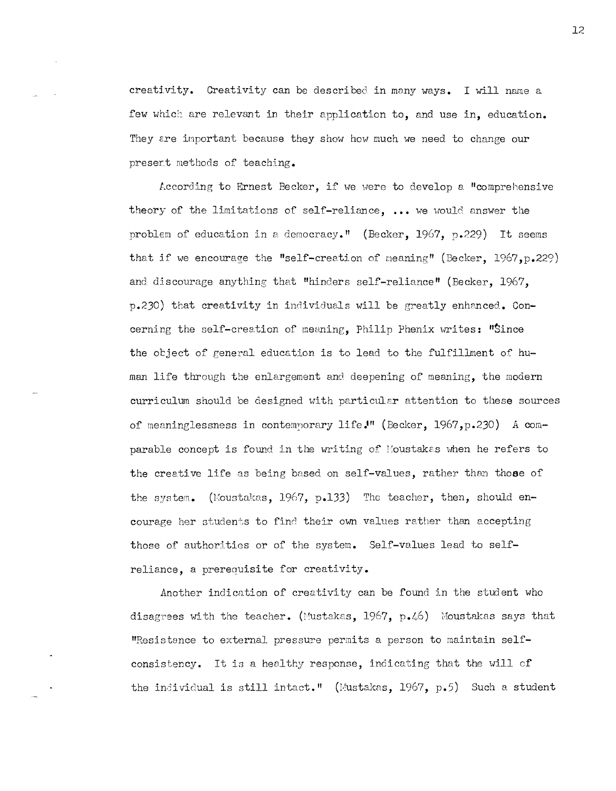creativity. Creativity can be described in many ways. I will name a few which are relevant in their application to, and use in, education. They are important because they show how much we need to change our present methods of teaching.

According to Ernest Becker, if we were to develop a "comprehensive theory of the limitations of self-reliance, ... we would answer the problem of education in a democracy." (Becker, 1967, p.229) It seems that if we encourage the "self-creation of meaning" (Becker,  $1967, p.229$ ) and discourage anything that "hinders self-reliance" (Becker, 1967, p.230) that creativity in individuals will be greatly enhanced. Concerning the self-creation of meaning, Philip Phenix writes: "Since the object of general education is to lead to the fulfillment of human life through the enlargement and deepening of meaning, the modern curriculum should be designed with particular attention to these sources of meaninglessness in contemporary life." (Becker, 1967, p.230) A comparable concept is found in the writing of Moustakas when he refers to the creative life as being based on self-values, rather than those of the system. (Moustakas, 1967, p.133) The teacher, then, should encourage her students to find their own values rather than accepting those of authorities or of the system. Self-values lead to selfreliance, a prerequisite for creativity.

Another indication of creativity can be found in the student who disagrees with the teacher. (Mustakas,  $1967$ , p.46) Moustakas says that "Resistance to external pressure permits a person to maintain selfconsistency. It is a healthy response, indicating that the will of the individual is still intact." (Mustakas, 1967, p.5) Such a student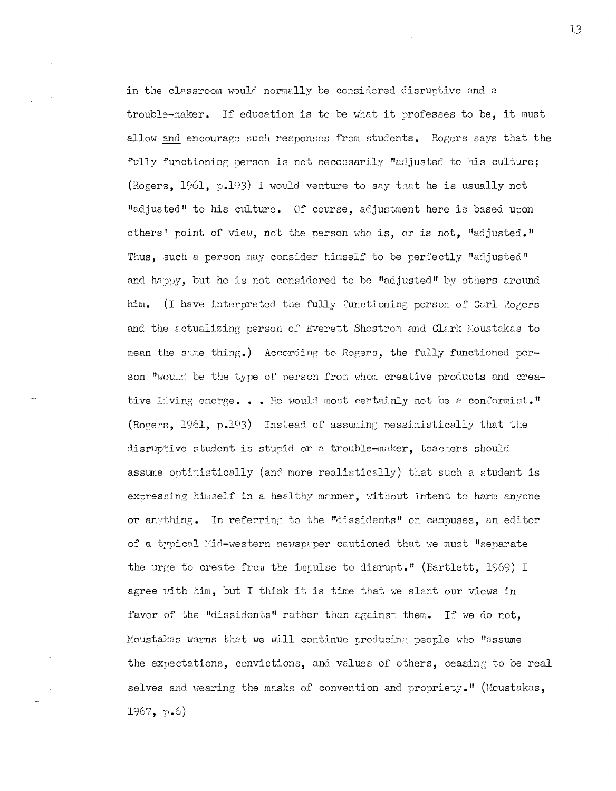in the classroom would normally be considered disruptive and a trouble-maker. If education is to be what it professes to be. it must allow and encourage such responses from students. Rogers says that the fully functioning person is not necessarily "adjusted to his culture; (Rogers, 1961, p.193) I would venture to say that he is usually not "adjusted" to his culture. Of course, adjustment here is based upon others' point of view, not the person who is, or is not, "adjusted." Thus, such a person may consider himself to be perfectly "adjusted" and happy, but he is not considered to be "adjusted" by others around him. (I have interpreted the fully functioning person of Carl Rogers and the actualizing person of Everett Shostrom and Clark Moustakas to mean the same thing.) According to Rogers, the fully functioned person "would be the type of person from whom creative products and creative living emerge... He would most certainly not be a conformist." (Rogers, 1961, p.193) Instead of assuming pessimistically that the disruptive student is stupid or a trouble-maker, teachers should assume optimistically (and more realistically) that such a student is expressing himself in a healthy manner, without intent to harm anyone or anything. In referring to the "dissidents" on campuses, an editor of a typical Mid-western newspaper cautioned that we must "separate the urge to create from the impulse to disrupt." (Bartlett, 1969) I agree with him, but I think it is time that we slant our views in favor of the "dissidents" rather than against them. If we do not, Moustakas warns that we will continue producing people who "assume the expectations, convictions, and values of others, ceasing to be real selves and wearing the masks of convention and propriety." (Moustakas, 1967, p.6)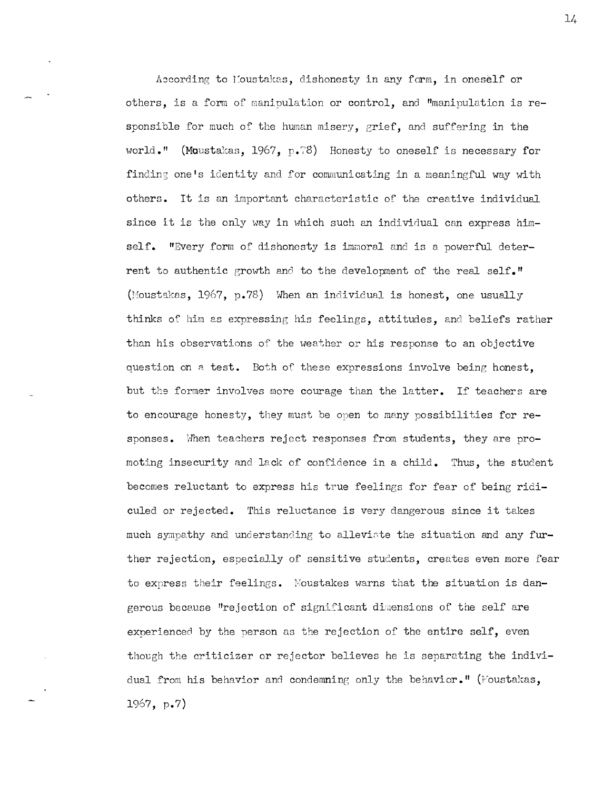According to Moustakas, dishonesty in any form, in oneself or others, is a form of manipulation or control, and "manipulation is responsible for much of the human misery, grief, and suffering in the world." (Moustakas, 1967, p.78) Honesty to oneself is necessary for finding one's identity and for communicating in a meaningful way with others. It is an important characteristic of the creative individual since it is the only way in which such an individual can express himself. "Every form of dishonesty is immoral and is a powerful deterrent to authentic growth and to the development of the real self." (Moustakas, 1967, p.78) When an individual is honest, one usually thinks of him as expressing his feelings, attitudes, and beliefs rather than his observations of the weather or his response to an objective question on a test. Both of these expressions involve being honest. but the former involves more courage than the latter. If teachers are to encourage honesty, they must be open to many possibilities for responses. When teachers reject responses from students, they are promoting insecurity and lack of confidence in a child. Thus, the student becomes reluctant to express his true feelings for fear of being ridiculed or rejected. This reluctance is very dangerous since it takes much sympathy and understanding to alleviate the situation and any further rejection, especially of sensitive students, creates even more fear to express their feelings. Moustakes warns that the situation is dangerous because "rejection of significant dimensions of the self are experienced by the person as the rejection of the entire self, even though the criticizer or rejector believes he is separating the individual from his behavior and condemning only the behavior." (Moustakas,  $1967, p.7)$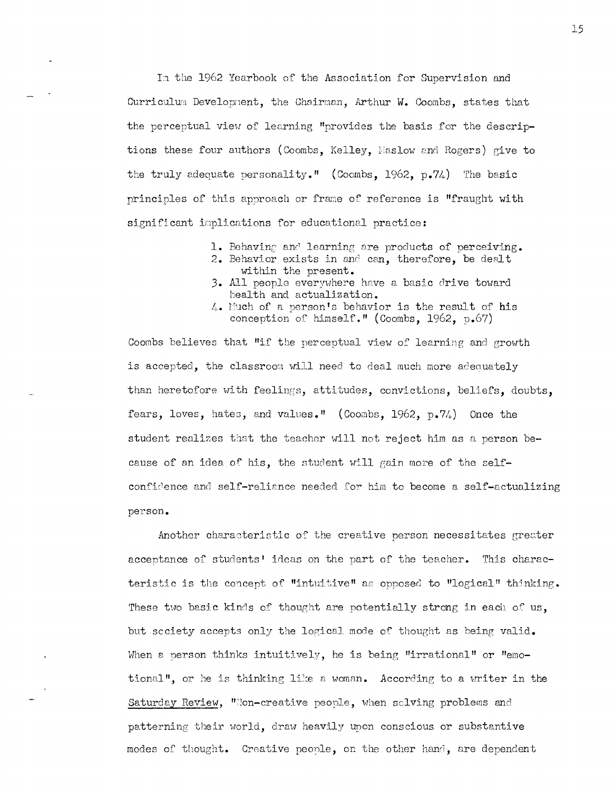In the 1962 Yearbook of the Association for Supervision and Curriculum Development, the Chairman, Arthur W. Coombs, states that the perceptual view of learning "provides the basis for the descriptions these four authors (Coombs, Kelley, Maslow and Rogers) give to the truly adequate personality." (Coombs, 1962,  $p.74$ ) The basic principles of this approach or frame of reference is "fraught with significant implications for educational practice:

- 1. Behaving and learning are products of perceiving. 2. Behavior exists in and can, therefore, be dealt
- within the present. 3. All people everywhere have a basic drive toward health and actualization.
- 4. Much of a person's behavior is the result of his conception of himself." (Coombs, 1962, p.67)

Coombs believes that "if the perceptual view of learning and growth is accepted, the classroom will need to deal much more adequately than heretofore with feelings, attitudes, convictions, beliefs, doubts, fears, loves, hates, and values." (Coombs, 1962, p.74) Once the student realizes that the teacher will not reject him as a person because of an idea of his, the student will gain more of the selfconfidence and self-reliance needed for him to become a self-actualizing person.

Another characteristic of the creative person necessitates greater acceptance of students' ideas on the part of the teacher. This characteristic is the concept of "intuitive" as opposed to "logical" thinking. These two basic kinds of thought are potentially strong in each of us, but scciety accepts only the logical mode of thought as being valid. When a person thinks intuitively, he is being "irrational" or "emotional", or he is thinking like a woman. According to a writer in the Saturday Review, "Non-creative people, when solving problems and patterning their world, draw heavily upon conscious or substantive modes of thought. Creative people, on the other hand, are dependent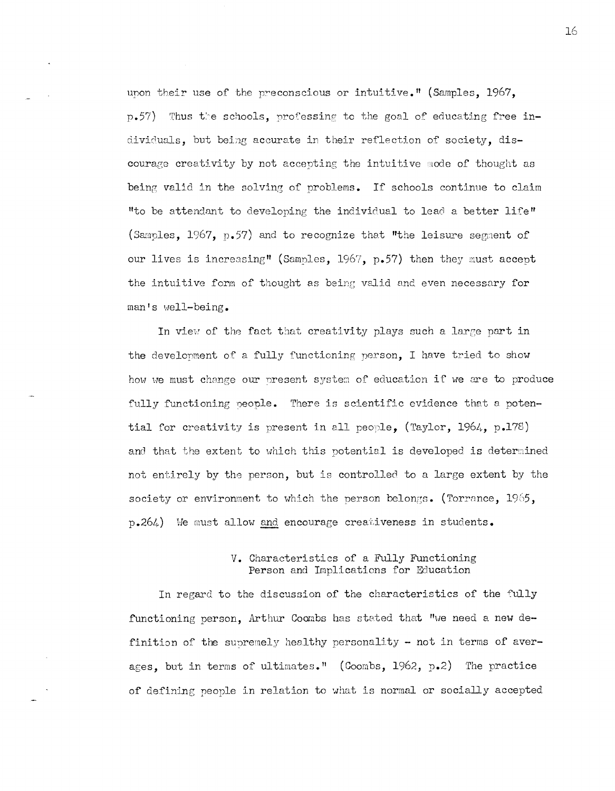upon their use of the preconscious or intuitive." (Samples, 1967, p.57) Thus the schools, professing to the goal of educating free individuals, but being accurate in their reflection of society, discourage creativity by not accepting the intuitive mode of thought as being valid in the solving of problems. If schools continue to claim "to be attendant to developing the individual to lead a better life" (Samples, 1967, p.57) and to recognize that "the leisure segment of our lives is increasing" (Samples, 1967, p.57) then they must accept the intuitive form of thought as being valid and even necessary for man's well-being.

In view of the fact that creativity plays such a large part in the development of a fully functioning person, I have tried to show how we must change our present system of education if we are to produce fully functioning people. There is scientific evidence that a potential for creativity is present in all people, (Taylor, 1964, p.178) and that the extent to which this potential is developed is determined not entirely by the person, but is controlled to a large extent by the society or environment to which the person belongs. (Torrance,  $1965$ , p.264) We must allow and encourage creativeness in students.

# V. Characteristics of a Fully Functioning Person and Implications for Education

In regard to the discussion of the characteristics of the fully functioning person, Arthur Coombs has stated that "we need a new definition of the supremely healthy personality - not in terms of averages, but in terms of ultimates." (Coombs, 1962, p.2) The practice of defining people in relation to what is normal or socially accepted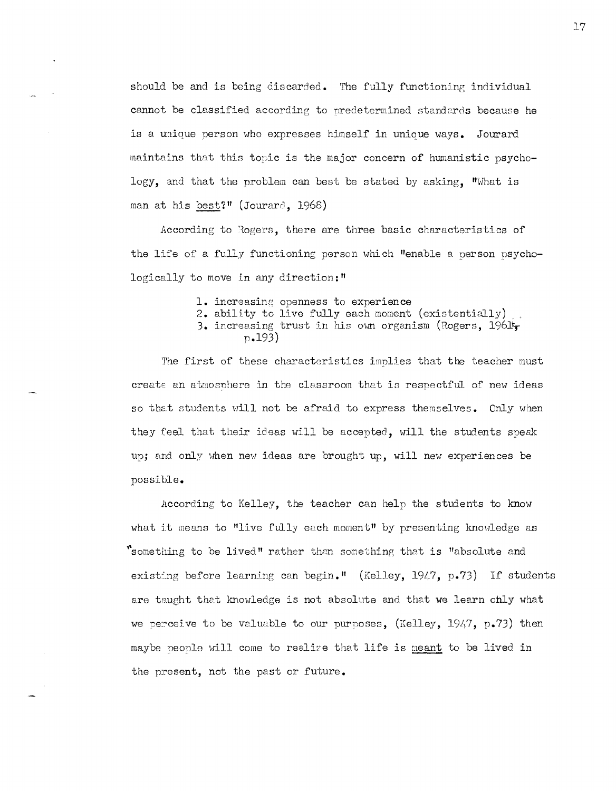should be and is being discarded. The fully functioning individual cannot be classified according to predetermined standards because he is a unique person who expresses himself in unique ways. Jourard maintains that this topic is the major concern of humanistic psychology, and that the problem can best be stated by asking. "What is man at his best?" (Jourard, 1968)

According to Rogers, there are three basic characteristics of the life of a fully functioning person which "enable a person psychologically to move in any direction:"

- **1.** increasing openness to experience
- **2.** ability to live fully each moment (existentially) .. 3. increasing trust in his own organism (Rogers, 1961t
	- p.193)

The first of these characteristics implies that the teacher must creats an atmosphere in the classroom that is respectful of new ideas so that students will not be afraid to express themselves. Only when they feel that their ideas will be accepted, will the students speak up; and only when new ideas are brought up, will new experiences be possible.

According to Kelley, the teacher can belp the students to know what it means to "live fully each moment" by presenting knowledge as "something to be lived" rather than something that is "absolute and existing before learning can begin." (Kelley, 1947, p.73) If students are taught that knowledge is not absolute and that we learn ohly what we perceive to be valuable to our purposes, (Kelley, 1947, p.73) then maybe people will come to realize that life is meant to be lived in the present, not the past or future.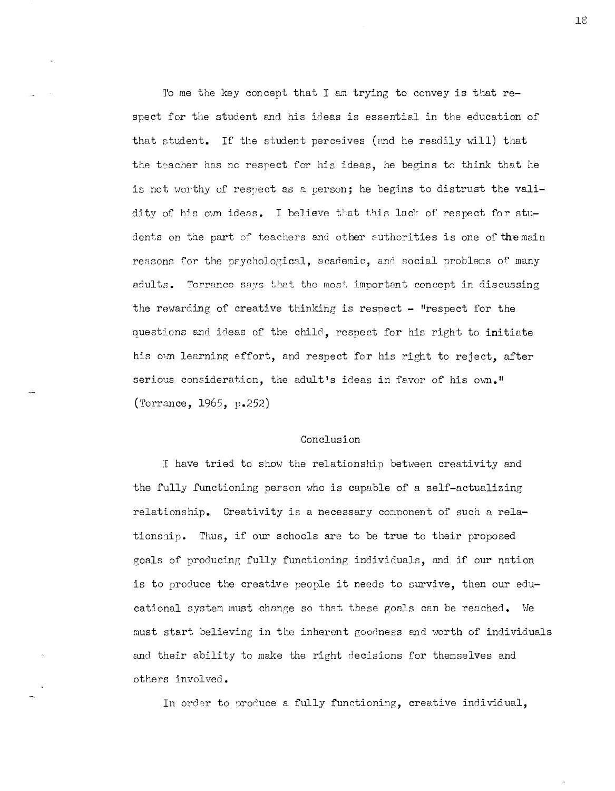To me the key concept that I am trying to convey is that respect for the student and his ideas is essential in the education of that student. If the student perceives (and he readily will) that the teacher has no respect for his ideas, he begins to think that he is not worthy of respect as a person; he begins to distrust the validity of his own ideas. I believe that this lack of respect for students on the part of teachers and other authorities is one of the main reasons for the psychological, academic, and social problems of many adults. Torrance says that the most important concept in discussing the rewarding of creative thinking is respect - "respect for the questions and ideas of the child, respect for his right to initiate his own learning effort, and respect for his right to reject, after serious consideration, the adult's ideas in favor of his own." (Torrance, 1965, p.252)

### Conclusion

I have tried to show the relationship between creativity and the fully functioning person who is capable of a self-actualizing relationship. Creativity is a necessary component of such a relationship. Thus, if our schools are to be true to their proposed goals of producing fully functioning individuals, and if our nation is to produce the creative people it needs to survive, then our educational system must change so that these goals can be reached. We must start believing in the inherent goodness and worth of individuals and their ability to make the right decisions for themselves and others involved.

In order to produce a fully functioning, creative individual,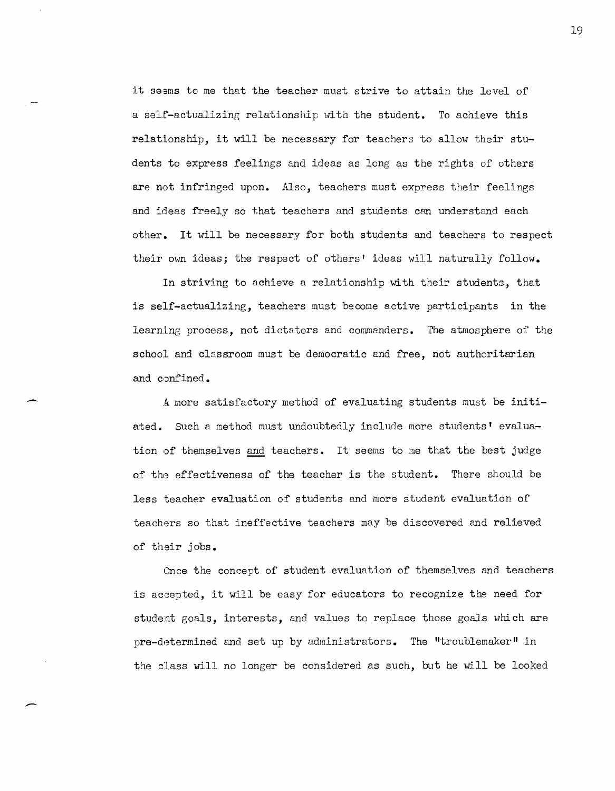it seems to me that the teacher must strive to attain the level of a self-actualizing relationship with the student. To achieve this relationship, it will be necessary for teachers to allow their students to express feelings and ideas as long as the rights of others are not infringed upon. Also, teachers must express their feelings and ideas freely so that teachers and students can understand each other. It will be necessary for both students and teachers to respect their own ideas; the respect of others' ideas will naturally follow.

In striving to achieve a relationship with their students, that is self-actualizing, teachers must become active participants in the learning process, not dictators and commanders. The atmosphere of the school and classroom must be democratic and free, not authoritarian and confined.

A more satisfactory method of evaluating students must be initiated. Such a method must undoubtedly include more students' evaluation of themselves and teachers. It seems to me that the best judge of the effectiveness of the teacher is the student. There should be less teacher evaluation of students and more student evaluation of teachers so that ineffective teachers may be discovered and relieved of their jobs.

 $\overline{\phantom{a}}$ 

Once the concept of student evaluation of themselves and teachers is accepted, it will be easy for educators to recognize the need for student goals, interests, and values to replace those goals which are pre-determined and set up by administrators. The "troublemaker" in the class will no longer be considered as such, but he will be looked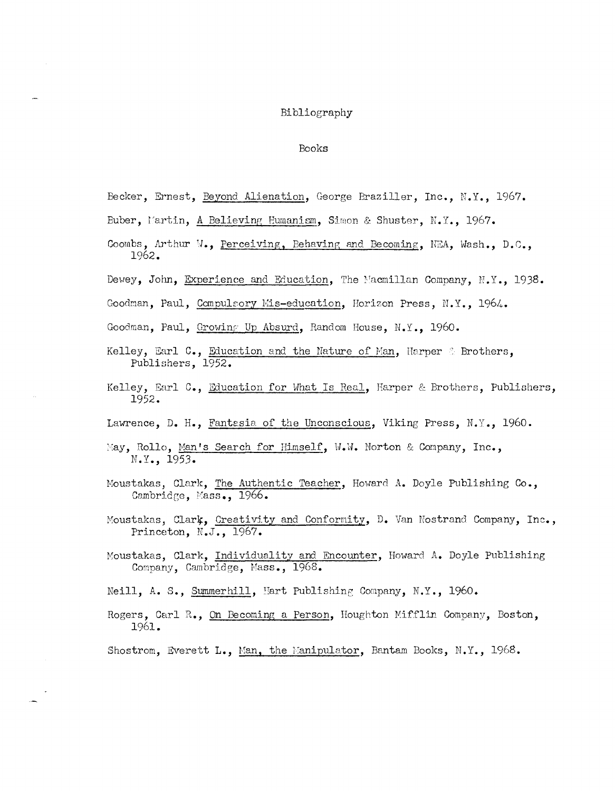#### Bibliography

#### Books

- Becker, Ernest, Beyond Alienation, George Braziller, Inc., N.Y., 1967.
- Buber, Martin, A Believing Humanism, Simon & Shuster, N.Y., 1967.
- Coombs, Arthur W., Perceiving, Behaving and Becoming, NEA, Wash., D.C., 1962.
- Dewey, John, Experience and Education, The Macmillan Company, N.Y., 1938.
- Goodman, Paul, Compulsory Mis-education, Horizon Press, N.Y., 1964.
- Goodman, Paul, Growing Up Absurd, Random House, N.Y., 1960.
- Kelley, Earl C., Education and the Nature of Man, Harper & Brothers, Publishers, 1952.
- Kelley, Earl C., Education for What Is Real, Harper & Brothers, Publishers, 1952.
- Lawrence, D. H., Fantasia of the Unconscious, Viking Press, N.Y., 1960.
- May, Rollo, Man's Search for Himself, W.W. Norton & Company, Inc., N.Y., 1953.
- Moustakas, Clark, The Authentic Teacher, Howard A. Doyle Publishing Co., Cambridge, Mass., 1966.
- Moustakas, Clark, Creativity and Conformity, D. Van Nostrand Company, Inc., Princeton, N.J., 1967.
- Moustakas, Clark, Individuality and Encounter, Howard A. Doyle Publishing Company, Cambridge, Mass., 1968.
- Neill, A. S., Summerhill, Hart Publishing Company, N.Y., 1960.
- Rogers, Carl R., On Becoming a Person, Houghton Mifflin Company, Boston, 1961.

Shostrom, Everett L., Man, the Manipulator, Bantam Books, N.Y., 1968.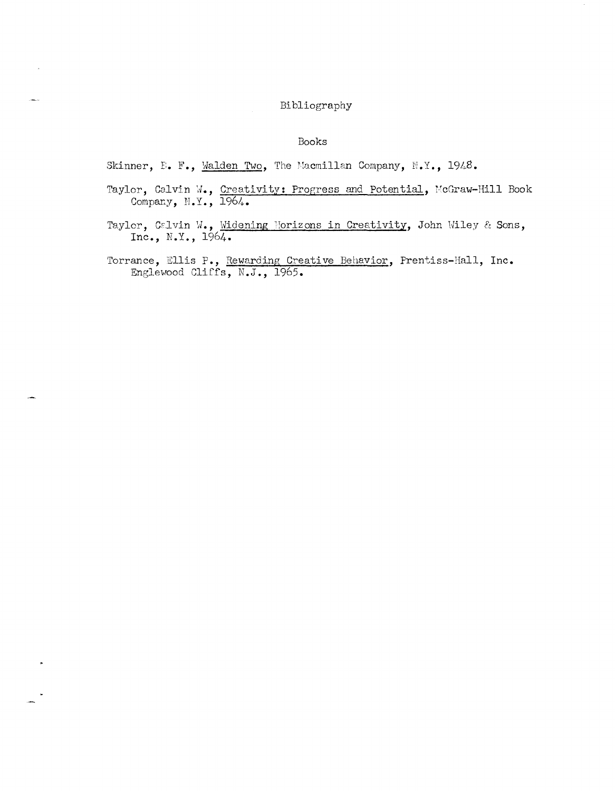# Bibliography

### Books

Skinner, E. F., Malden Two, The Macmillan Company, N.Y., 1948.

- Taylor, Calvin W., Creativity: Progress and Potential, McGraw-Hill Book Company, N.Y., 1964.
- Taylor, Calvin W., Widening Horizons in Creativity, John Wiley & Sons, Inc., N.Y., 1964.

Torrance, Ellis P., Rewarding Creative Behavior, Prentiss-Hall, Inc.<br>Englewood Cliffs, N.J., 1965.